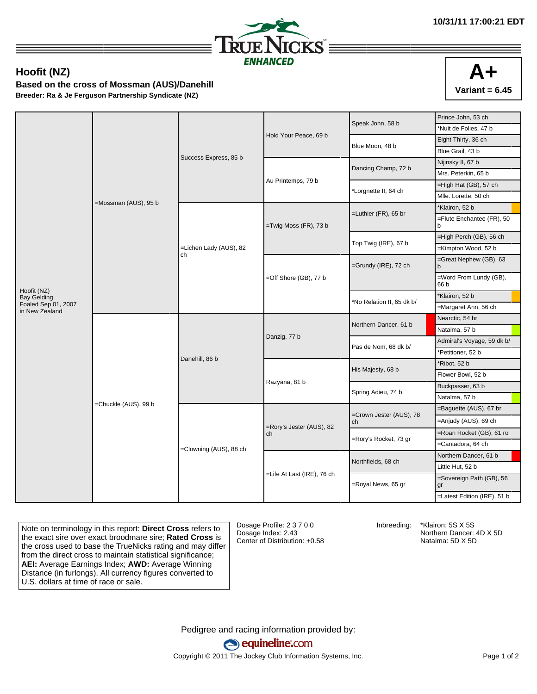

## **Hoofit (NZ)**

**Based on the cross of Mossman (AUS)/Danehill Breeder: Ra & Je Ferguson Partnership Syndicate (NZ)**



|                                       |                      | Success Express, 85 b        |                                | Speak John, 58 b              | Prince John, 53 ch             |
|---------------------------------------|----------------------|------------------------------|--------------------------------|-------------------------------|--------------------------------|
|                                       |                      |                              |                                |                               | *Nuit de Folies, 47 b          |
|                                       |                      |                              | Hold Your Peace, 69 b          | Blue Moon, 48 b               | Eight Thirty, 36 ch            |
|                                       |                      |                              |                                |                               | Blue Grail, 43 b               |
|                                       |                      |                              |                                | Dancing Champ, 72 b           | Nijinsky II, 67 b              |
|                                       |                      |                              | Au Printemps, 79 b             |                               | Mrs. Peterkin, 65 b            |
|                                       |                      |                              |                                | *Lorgnette II, 64 ch          | =High Hat (GB), 57 ch          |
|                                       |                      |                              |                                |                               | Mlle. Lorette, 50 ch           |
|                                       | =Mossman (AUS), 95 b | =Lichen Lady (AUS), 82<br>ch | =Twig Moss (FR), 73 b          |                               | *Klairon, 52 b                 |
|                                       |                      |                              |                                | =Luthier (FR), 65 br          | =Flute Enchantee (FR), 50<br>b |
|                                       |                      |                              |                                | Top Twig (IRE), 67 b          | =High Perch (GB), 56 ch        |
|                                       |                      |                              |                                |                               | =Kimpton Wood, 52 b            |
|                                       |                      |                              | $=$ Off Shore (GB), 77 b       | =Grundy (IRE), 72 ch          | =Great Nephew (GB), 63<br>b    |
|                                       |                      |                              |                                |                               | =Word From Lundy (GB),<br>66 b |
| Hoofit (NZ)<br><b>Bay Gelding</b>     |                      |                              |                                | *No Relation II, 65 dk b/     | *Klairon, 52 b                 |
| Foaled Sep 01, 2007<br>in New Zealand |                      |                              |                                |                               | =Margaret Ann, 56 ch           |
|                                       | =Chuckle (AUS), 99 b | Danehill, 86 b               | Danzig, 77 b                   | Northern Dancer, 61 b         | Nearctic, 54 br                |
|                                       |                      |                              |                                |                               | Natalma, 57 b                  |
|                                       |                      |                              |                                | Pas de Nom, 68 dk b/          | Admiral's Voyage, 59 dk b/     |
|                                       |                      |                              |                                |                               | 'Petitioner, 52 b              |
|                                       |                      |                              |                                | His Majesty, 68 b             | *Ribot, 52 b                   |
|                                       |                      |                              |                                |                               | Flower Bowl, 52 b              |
|                                       |                      |                              | Razyana, 81 b                  | Spring Adieu, 74 b            | Buckpasser, 63 b               |
|                                       |                      |                              |                                |                               | Natalma, 57 b                  |
|                                       |                      | =Clowning (AUS), 88 ch       | =Rory's Jester (AUS), 82<br>ch | =Crown Jester (AUS), 78<br>ch | =Baguette (AUS), 67 br         |
|                                       |                      |                              |                                |                               | =Anjudy (AUS), 69 ch           |
|                                       |                      |                              |                                | =Rory's Rocket, 73 gr         | =Roan Rocket (GB), 61 ro       |
|                                       |                      |                              |                                |                               | =Cantadora, 64 ch              |
|                                       |                      |                              |                                | Northfields, 68 ch            | Northern Dancer, 61 b          |
|                                       |                      |                              |                                |                               | Little Hut, 52 b               |
|                                       |                      |                              | =Life At Last (IRE), 76 ch     | =Royal News, 65 gr            | =Sovereign Path (GB), 56<br>gr |
|                                       |                      |                              |                                |                               | =Latest Edition (IRE), 51 b    |

Note on terminology in this report: **Direct Cross** refers to the exact sire over exact broodmare sire; **Rated Cross** is the cross used to base the TrueNicks rating and may differ from the direct cross to maintain statistical significance; **AEI:** Average Earnings Index; **AWD:** Average Winning Distance (in furlongs). All currency figures converted to U.S. dollars at time of race or sale.

Dosage Profile: 2 3 7 0 0 Dosage Index: 2.43 Center of Distribution: +0.58

Inbreeding: \*Klairon: 5S X 5S Northern Dancer: 4D X 5D Natalma: 5D X 5D